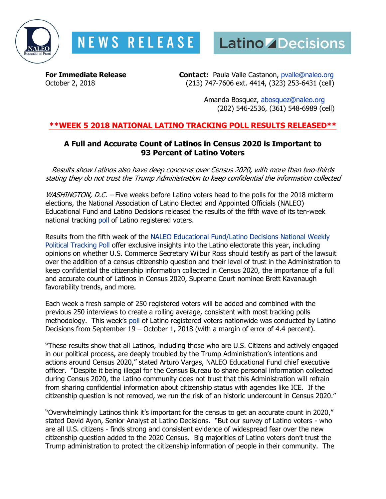

# **NEWS RELEASE**



**For Immediate Release Contact:** Paula Valle Castanon, [pvalle@naleo.org](mailto:pvalle@naleo.org?subject=Media%20Request:%20Convention%20Briefings)<br>October 2. 2018 (213) 747-7606 ext. 4414, (323) 253-6431 (cell) (213) 747-7606 ext. 4414, (323) 253-6431 (cell)

> Amanda Bosquez, [abosquez@naleo.org](mailto:abosquez@naleo.org) (202) 546-2536, (361) 548-6989 (cell)

## **\*\*WEEK 5 2018 NATIONAL LATINO TRACKING POLL RESULTS RELEASED\*\***

## **A Full and Accurate Count of Latinos in Census 2020 is Important to 93 Percent of Latino Voters**

Results show Latinos also have deep concerns over Census 2020, with more than two-thirds stating they do not trust the Trump Administration to keep confidential the information collected

WASHINGTON, D.C. - Five weeks before Latino voters head to the polls for the 2018 midterm elections, the National Association of Latino Elected and Appointed Officials (NALEO) Educational Fund and Latino Decisions released the results of the fifth wave of its ten-week national tracking [poll](http://www.latinodecisions.com/index.php/download_file/767/) of Latino registered voters.

Results from the fifth week of the NALEO [Educational Fund/Latino Decisions National Weekly](http://www.latinodecisions.com/index.php/download_file/767/)  [Political Tracking Poll](http://www.latinodecisions.com/index.php/download_file/767/) offer exclusive insights into the Latino electorate this year, including opinions on whether U.S. Commerce Secretary Wilbur Ross should testify as part of the lawsuit over the addition of a census citizenship question and their level of trust in the Administration to keep confidential the citizenship information collected in Census 2020, the importance of a full and accurate count of Latinos in Census 2020, Supreme Court nominee Brett Kavanaugh favorability trends, and more.

Each week a fresh sample of 250 registered voters will be added and combined with the previous 250 interviews to create a rolling average, consistent with most tracking polls methodology. This week's [poll](http://www.latinodecisions.com/index.php/download_file/767/) of Latino registered voters nationwide was conducted by Latino Decisions from September 19 – October 1, 2018 (with a margin of error of 4.4 percent).

"These results show that all Latinos, including those who are U.S. Citizens and actively engaged in our political process, are deeply troubled by the Trump Administration's intentions and actions around Census 2020," stated Arturo Vargas, NALEO Educational Fund chief executive officer. "Despite it being illegal for the Census Bureau to share personal information collected during Census 2020, the Latino community does not trust that this Administration will refrain from sharing confidential information about citizenship status with agencies like ICE. If the citizenship question is not removed, we run the risk of an historic undercount in Census 2020."

"Overwhelmingly Latinos think it's important for the census to get an accurate count in 2020," stated David Ayon, Senior Analyst at Latino Decisions. "But our survey of Latino voters - who are all U.S. citizens - finds strong and consistent evidence of widespread fear over the new citizenship question added to the 2020 Census. Big majorities of Latino voters don't trust the Trump administration to protect the citizenship information of people in their community. The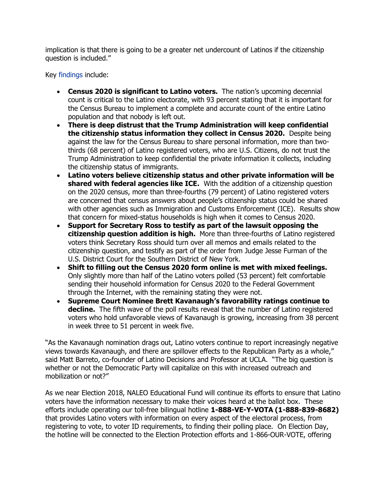implication is that there is going to be a greater net undercount of Latinos if the citizenship question is included."

Key [findings](http://www.latinodecisions.com/index.php/download_file/767/) include:

- **Census 2020 is significant to Latino voters.** The nation's upcoming decennial count is critical to the Latino electorate, with 93 percent stating that it is important for the Census Bureau to implement a complete and accurate count of the entire Latino population and that nobody is left out.
- **There is deep distrust that the Trump Administration will keep confidential the citizenship status information they collect in Census 2020.** Despite being against the law for the Census Bureau to share personal information, more than twothirds (68 percent) of Latino registered voters, who are U.S. Citizens, do not trust the Trump Administration to keep confidential the private information it collects, including the citizenship status of immigrants.
- **Latino voters believe citizenship status and other private information will be shared with federal agencies like ICE.** With the addition of a citizenship question on the 2020 census, more than three-fourths (79 percent) of Latino registered voters are concerned that census answers about people's citizenship status could be shared with other agencies such as Immigration and Customs Enforcement (ICE). Results show that concern for mixed-status households is high when it comes to Census 2020.
- **Support for Secretary Ross to testify as part of the lawsuit opposing the citizenship question addition is high.** More than three-fourths of Latino registered voters think Secretary Ross should turn over all memos and emails related to the citizenship question, and testify as part of the order from Judge Jesse Furman of the U.S. District Court for the Southern District of New York.
- **Shift to filling out the Census 2020 form online is met with mixed feelings.** Only slightly more than half of the Latino voters polled (53 percent) felt comfortable sending their household information for Census 2020 to the Federal Government through the Internet, with the remaining stating they were not.
- **Supreme Court Nominee Brett Kavanaugh's favorability ratings continue to decline.** The fifth wave of the poll results reveal that the number of Latino registered voters who hold unfavorable views of Kavanaugh is growing, increasing from 38 percent in week three to 51 percent in week five.

"As the Kavanaugh nomination drags out, Latino voters continue to report increasingly negative views towards Kavanaugh, and there are spillover effects to the Republican Party as a whole," said Matt Barreto, co-founder of Latino Decisions and Professor at UCLA. "The big question is whether or not the Democratic Party will capitalize on this with increased outreach and mobilization or not?"

As we near Election 2018, NALEO Educational Fund will continue its efforts to ensure that Latino voters have the information necessary to make their voices heard at the ballot box. These efforts include operating our toll-free bilingual hotline **[1-888-VE-Y-VOTA \(1-888-839-8682\)](https://d3n8a8pro7vhmx.cloudfront.net/naleo/pages/190/attachments/original/1456783462/2_29_16_-_Ve_y_Vota_Hotline_Flyer_2016_English_Final.pdf?1456783462)** that provides Latino voters with information on every aspect of the electoral process, from registering to vote, to voter ID requirements, to finding their polling place. On Election Day, the hotline will be connected to the Election Protection efforts and 1-866-OUR-VOTE, offering